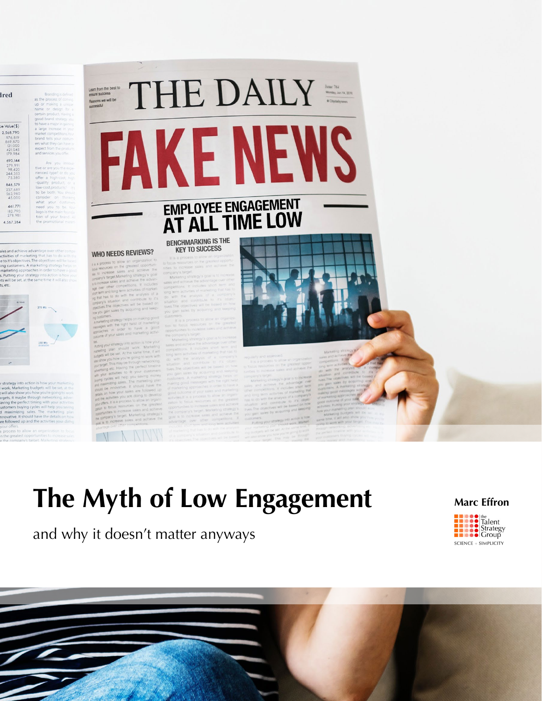| Ired                                    | Branding         |
|-----------------------------------------|------------------|
|                                         | as the process o |
|                                         | up or making     |
|                                         | name or desire   |
|                                         | certain product. |
|                                         | good brand stra  |
| be Value(\$)<br>2.568.790               | to have a major. |
|                                         | a large increase |
| 976.819                                 | market competi   |
| 869:870                                 | brand tells you  |
| 121,000                                 | ers what they co |
| 421,045                                 | expect from the  |
| 179,984                                 | and services you |
| 690,144                                 | Are you          |
| 279.991                                 | tive or are you  |
| 98,420<br>244.353                       | rienced type?    |
| 75.380                                  | offer a high-c   |
| 846.579<br>237.689<br>563,980<br>45,000 | -quality prod.   |
|                                         | low-cost.produ   |
|                                         | to be both. Yo   |
|                                         | consider on      |
|                                         | what your        |
| 461,771                                 | need you to      |
| 182,790<br>278.981                      | logo is the ma-  |
|                                         | tion of your     |
| 4.567.284                               | the promotion    |





## BENCHMARKING IS THE<br>KEY TO SUCCESS

**WHO NEEDS REVIEWS?** 



# The Myth of Low Engagement

and why it doesn't matter anyways



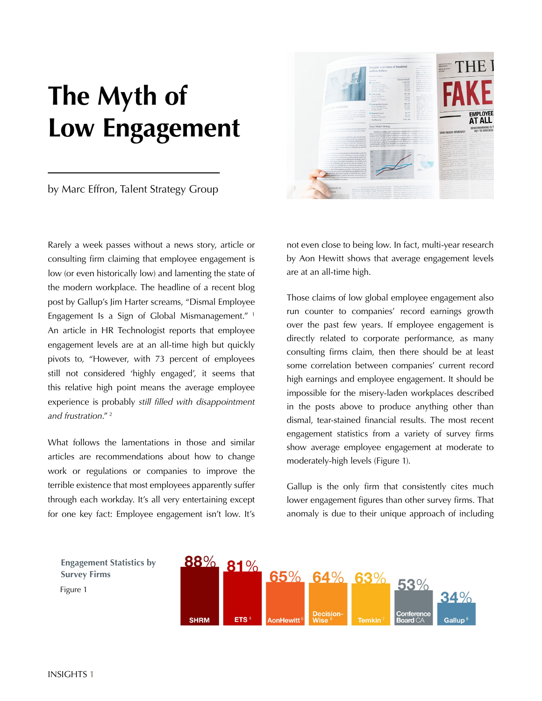# **The Myth of Low Engagement**

by Marc Effron, Talent Strategy Group

Rarely a week passes without a news story, article or consulting firm claiming that employee engagement is low (or even historically low) and lamenting the state of the modern workplace. The headline of a recent blog post by Gallup's Jim Harter screams, "Dismal Employee Engagement Is a Sign of Global Mismanagement." 1 An article in HR Technologist reports that employee engagement levels are at an all-time high but quickly pivots to, "However, with 73 percent of employees still not considered 'highly engaged', it seems that this relative high point means the average employee experience is probably *still filled with disappointment and frustration*." 2

What follows the lamentations in those and similar articles are recommendations about how to change work or regulations or companies to improve the terrible existence that most employees apparently suffer through each workday. It's all very entertaining except for one key fact: Employee engagement isn't low. It's



not even close to being low. In fact, multi-year research by Aon Hewitt shows that average engagement levels are at an all-time high.

Those claims of low global employee engagement also run counter to companies' record earnings growth over the past few years. If employee engagement is directly related to corporate performance, as many consulting firms claim, then there should be at least some correlation between companies' current record high earnings and employee engagement. It should be impossible for the misery-laden workplaces described in the posts above to produce anything other than dismal, tear-stained financial results. The most recent engagement statistics from a variety of survey firms show average employee engagement at moderate to moderately-high levels (Figure 1).

Gallup is the only firm that consistently cites much lower engagement figures than other survey firms. That anomaly is due to their unique approach of including

Figure 1 **Engagement Statistics by Survey Firms**

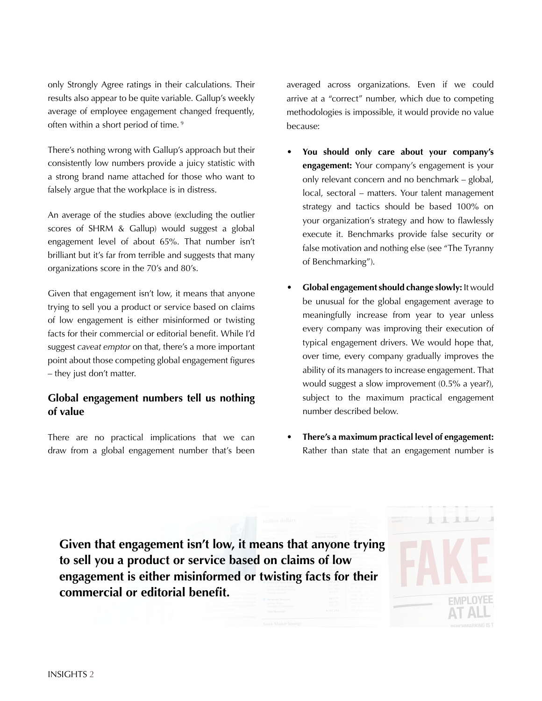only Strongly Agree ratings in their calculations. Their results also appear to be quite variable. Gallup's weekly average of employee engagement changed frequently, often within a short period of time. 9

There's nothing wrong with Gallup's approach but their consistently low numbers provide a juicy statistic with a strong brand name attached for those who want to falsely argue that the workplace is in distress.

An average of the studies above (excluding the outlier scores of SHRM & Gallup) would suggest a global engagement level of about 65%. That number isn't brilliant but it's far from terrible and suggests that many organizations score in the 70's and 80's.

Given that engagement isn't low, it means that anyone trying to sell you a product or service based on claims of low engagement is either misinformed or twisting facts for their commercial or editorial benefit. While I'd suggest *caveat emptor* on that, there's a more important point about those competing global engagement figures – they just don't matter.

## **Global engagement numbers tell us nothing of value**

There are no practical implications that we can draw from a global engagement number that's been averaged across organizations. Even if we could arrive at a "correct" number, which due to competing methodologies is impossible, it would provide no value because:

- **• You should only care about your company's engagement:** Your company's engagement is your only relevant concern and no benchmark – global, local, sectoral – matters. Your talent management strategy and tactics should be based 100% on your organization's strategy and how to flawlessly execute it. Benchmarks provide false security or false motivation and nothing else (see ["The Tyranny](https://www.talentstrategygroup.com/publications/the-tyranny-of-benchmarking?utm_source=white+paper&utm_medium=pdf+link&utm_campaign=myth+of+low+engagement) [of Benchmarking"\)](https://www.talentstrategygroup.com/publications/the-tyranny-of-benchmarking?utm_source=white+paper&utm_medium=pdf+link&utm_campaign=myth+of+low+engagement).
- **• Global engagement should change slowly:** It would be unusual for the global engagement average to meaningfully increase from year to year unless every company was improving their execution of typical engagement drivers. We would hope that, over time, every company gradually improves the ability of its managers to increase engagement. That would suggest a slow improvement (0.5% a year?), subject to the maximum practical engagement number described below.
- **• There's a maximum practical level of engagement:** Rather than state that an engagement number is

 $\mathbb{L}$ 

**Given that engagement isn't low, it means that anyone trying to sell you a product or service based on claims of low engagement is either misinformed or twisting facts for their commercial or editorial benefit.**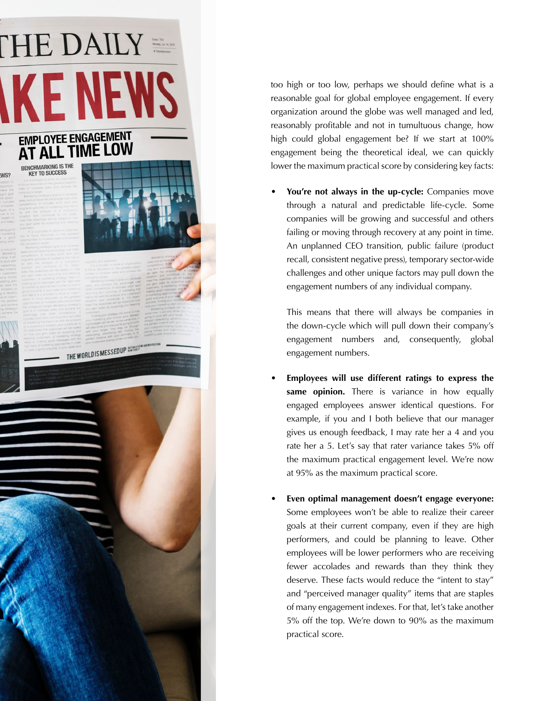# THE DAILY **EMPLOYEE ENGAGEMENT**

# AT ALL TIME LOW

### **BENCHMARKING IS THE KEY TO SUCCESS**

WS?

THE WORLDIS MESSED UP SOFTIMELY

too high or too low, perhaps we should define what is a reasonable goal for global employee engagement. If every organization around the globe was well managed and led, reasonably profitable and not in tumultuous change, how high could global engagement be? If we start at 100% engagement being the theoretical ideal, we can quickly lower the maximum practical score by considering key facts:

You're not always in the up-cycle: Companies move through a natural and predictable life-cycle. Some companies will be growing and successful and others failing or moving through recovery at any point in time. An unplanned CEO transition, public failure (product recall, consistent negative press), temporary sector-wide challenges and other unique factors may pull down the engagement numbers of any individual company.

This means that there will always be companies in the down-cycle which will pull down their company's engagement numbers and, consequently, global engagement numbers.

- Employees will use different ratings to express the same opinion. There is variance in how equally engaged employees answer identical questions. For example, if you and I both believe that our manager gives us enough feedback, I may rate her a 4 and you rate her a 5. Let's say that rater variance takes 5% off the maximum practical engagement level. We're now at 95% as the maximum practical score.
- Even optimal management doesn't engage everyone: Some employees won't be able to realize their career goals at their current company, even if they are high performers, and could be planning to leave. Other employees will be lower performers who are receiving fewer accolades and rewards than they think they deserve. These facts would reduce the "intent to stay" and "perceived manager quality" items that are staples of many engagement indexes. For that, let's take another 5% off the top. We're down to 90% as the maximum practical score.